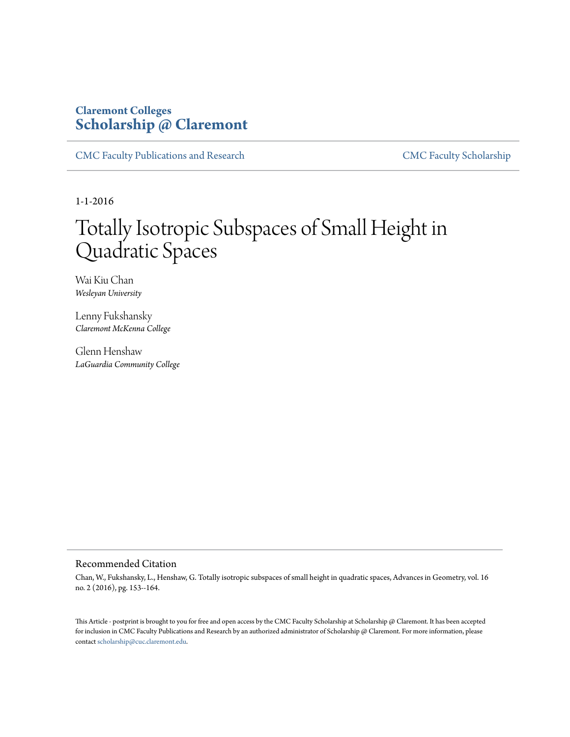# **Claremont Colleges [Scholarship @ Claremont](http://scholarship.claremont.edu)**

[CMC Faculty Publications and Research](http://scholarship.claremont.edu/cmc_fac_pub) [CMC Faculty Scholarship](http://scholarship.claremont.edu/cmc_faculty)

1-1-2016

# Totally Isotropic Subspaces of Small Height in Quadratic Spaces

Wai Kiu Chan *Wesleyan University*

Lenny Fukshansky *Claremont McKenna College*

Glenn Henshaw *LaGuardia Community College*

### Recommended Citation

Chan, W., Fukshansky, L., Henshaw, G. Totally isotropic subspaces of small height in quadratic spaces, Advances in Geometry, vol. 16 no. 2 (2016), pg. 153--164.

This Article - postprint is brought to you for free and open access by the CMC Faculty Scholarship at Scholarship @ Claremont. It has been accepted for inclusion in CMC Faculty Publications and Research by an authorized administrator of Scholarship @ Claremont. For more information, please contact [scholarship@cuc.claremont.edu](mailto:scholarship@cuc.claremont.edu).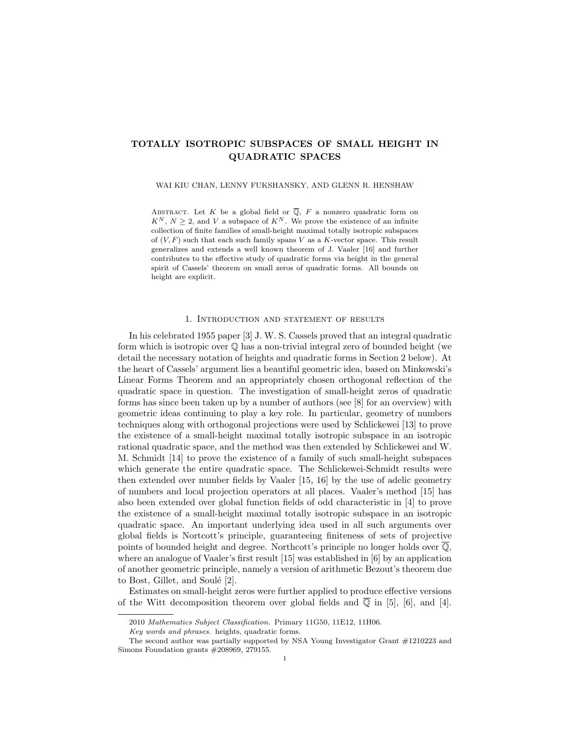## TOTALLY ISOTROPIC SUBSPACES OF SMALL HEIGHT IN QUADRATIC SPACES

WAI KIU CHAN, LENNY FUKSHANSKY, AND GLENN R. HENSHAW

ABSTRACT. Let K be a global field or  $\overline{Q}$ , F a nonzero quadratic form on  $K^N$ ,  $N \geq 2$ , and V a subspace of  $K^N$ . We prove the existence of an infinite collection of finite families of small-height maximal totally isotropic subspaces of  $(V, F)$  such that each such family spans V as a K-vector space. This result generalizes and extends a well known theorem of J. Vaaler [16] and further contributes to the effective study of quadratic forms via height in the general spirit of Cassels' theorem on small zeros of quadratic forms. All bounds on height are explicit.

#### 1. Introduction and statement of results

In his celebrated 1955 paper [3] J. W. S. Cassels proved that an integral quadratic form which is isotropic over  $\mathbb Q$  has a non-trivial integral zero of bounded height (we detail the necessary notation of heights and quadratic forms in Section 2 below). At the heart of Cassels' argument lies a beautiful geometric idea, based on Minkowski's Linear Forms Theorem and an appropriately chosen orthogonal reflection of the quadratic space in question. The investigation of small-height zeros of quadratic forms has since been taken up by a number of authors (see [8] for an overview) with geometric ideas continuing to play a key role. In particular, geometry of numbers techniques along with orthogonal projections were used by Schlickewei [13] to prove the existence of a small-height maximal totally isotropic subspace in an isotropic rational quadratic space, and the method was then extended by Schlickewei and W. M. Schmidt [14] to prove the existence of a family of such small-height subspaces which generate the entire quadratic space. The Schlickewei-Schmidt results were then extended over number fields by Vaaler [15, 16] by the use of adelic geometry of numbers and local projection operators at all places. Vaaler's method [15] has also been extended over global function fields of odd characteristic in [4] to prove the existence of a small-height maximal totally isotropic subspace in an isotropic quadratic space. An important underlying idea used in all such arguments over global fields is Nortcott's principle, guaranteeing finiteness of sets of projective points of bounded height and degree. Northcott's principle no longer holds over  $\overline{Q}$ , where an analogue of Vaaler's first result [15] was established in [6] by an application of another geometric principle, namely a version of arithmetic Bezout's theorem due to Bost, Gillet, and Soulé  $[2]$ .

Estimates on small-height zeros were further applied to produce effective versions of the Witt decomposition theorem over global fields and  $\mathbb{Q}$  in [5], [6], and [4].

<sup>2010</sup> Mathematics Subject Classification. Primary 11G50, 11E12, 11H06.

Key words and phrases. heights, quadratic forms.

The second author was partially supported by NSA Young Investigator Grant #1210223 and Simons Foundation grants #208969, 279155.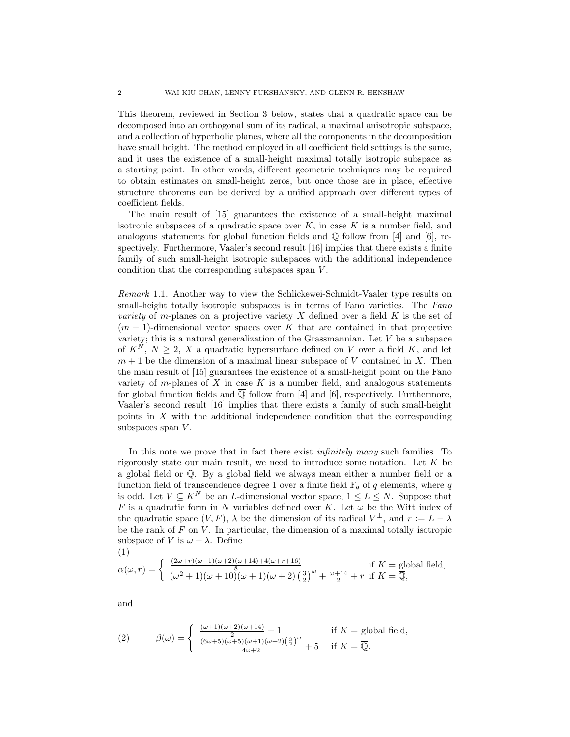This theorem, reviewed in Section 3 below, states that a quadratic space can be decomposed into an orthogonal sum of its radical, a maximal anisotropic subspace, and a collection of hyperbolic planes, where all the components in the decomposition have small height. The method employed in all coefficient field settings is the same, and it uses the existence of a small-height maximal totally isotropic subspace as a starting point. In other words, different geometric techniques may be required to obtain estimates on small-height zeros, but once those are in place, effective structure theorems can be derived by a unified approach over different types of coefficient fields.

The main result of [15] guarantees the existence of a small-height maximal isotropic subspaces of a quadratic space over  $K$ , in case  $K$  is a number field, and analogous statements for global function fields and  $\overline{Q}$  follow from [4] and [6], respectively. Furthermore, Vaaler's second result [16] implies that there exists a finite family of such small-height isotropic subspaces with the additional independence condition that the corresponding subspaces span V.

Remark 1.1. Another way to view the Schlickewei-Schmidt-Vaaler type results on small-height totally isotropic subspaces is in terms of Fano varieties. The Fano *variety* of m-planes on a projective variety X defined over a field  $K$  is the set of  $(m + 1)$ -dimensional vector spaces over K that are contained in that projective variety; this is a natural generalization of the Grassmannian. Let  $V$  be a subspace of  $K^N$ ,  $N \geq 2$ , X a quadratic hypersurface defined on V over a field K, and let  $m+1$  be the dimension of a maximal linear subspace of V contained in X. Then the main result of [15] guarantees the existence of a small-height point on the Fano variety of  $m$ -planes of  $X$  in case  $K$  is a number field, and analogous statements for global function fields and  $\overline{Q}$  follow from [4] and [6], respectively. Furthermore, Vaaler's second result [16] implies that there exists a family of such small-height points in  $X$  with the additional independence condition that the corresponding subspaces span  $V$ .

In this note we prove that in fact there exist *infinitely many* such families. To rigorously state our main result, we need to introduce some notation. Let K be a global field or  $\overline{Q}$ . By a global field we always mean either a number field or a function field of transcendence degree 1 over a finite field  $\mathbb{F}_q$  of q elements, where q is odd. Let  $V \subseteq K^N$  be an *L*-dimensional vector space,  $1 \leq L \leq N$ . Suppose that F is a quadratic form in N variables defined over K. Let  $\omega$  be the Witt index of the quadratic space  $(V, F)$ ,  $\lambda$  be the dimension of its radical  $V^{\perp}$ , and  $r := L - \lambda$ be the rank of  $F$  on  $V$ . In particular, the dimension of a maximal totally isotropic subspace of V is  $\omega + \lambda$ . Define

(1)  
\n
$$
\alpha(\omega, r) = \begin{cases}\n\frac{(2\omega + r)(\omega + 1)(\omega + 2)(\omega + 14) + 4(\omega + r + 16)}{8} & \text{if } K = \text{global field,} \\
(\omega^2 + 1)(\omega + 10)(\omega + 1)(\omega + 2)(\frac{3}{2})^{\omega} + \frac{\omega + 14}{2} + r & \text{if } K = \overline{\mathbb{Q}},\n\end{cases}
$$

and

(2) 
$$
\beta(\omega) = \begin{cases} \frac{(\omega+1)(\omega+2)(\omega+14)}{2} + 1 & \text{if } K = \text{global field,} \\ \frac{(6\omega+5)(\omega+5)(\omega+1)(\omega+2)(\frac{3}{2})^{\omega}}{4\omega+2} + 5 & \text{if } K = \overline{\mathbb{Q}}. \end{cases}
$$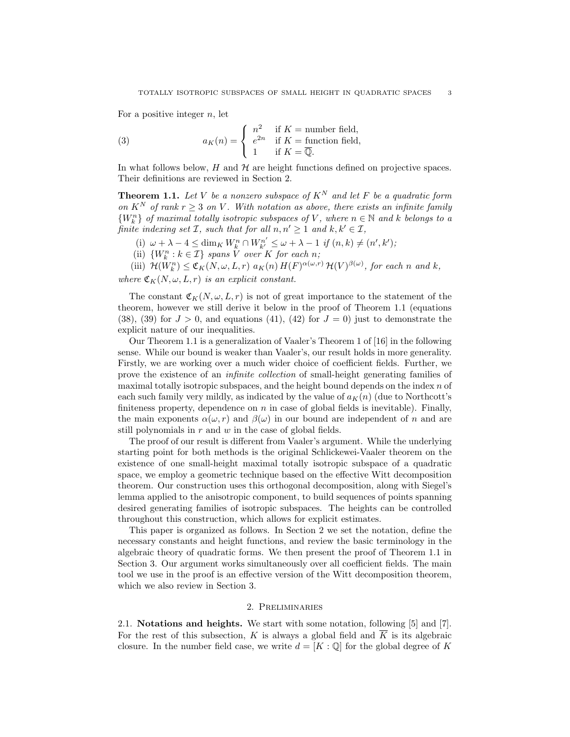For a positive integer  $n$ , let

(3) 
$$
a_K(n) = \begin{cases} n^2 & \text{if } K = \text{number field,} \\ e^{2n} & \text{if } K = \text{function field,} \\ 1 & \text{if } K = \overline{\mathbb{Q}}. \end{cases}
$$

In what follows below,  $H$  and  $H$  are height functions defined on projective spaces. Their definitions are reviewed in Section 2.

**Theorem 1.1.** Let V be a nonzero subspace of  $K^N$  and let F be a quadratic form on  $K^N$  of rank  $r \geq 3$  on V. With notation as above, there exists an infinite family  ${W_k^n}$  of maximal totally isotropic subspaces of V, where  $n \in \mathbb{N}$  and k belongs to a finite indexing set  $\mathcal{I}$ , such that for all  $n, n' \geq 1$  and  $k, k' \in \mathcal{I}$ ,

(i)  $\omega + \lambda - 4 \le \dim_K W_k^n \cap W_{k'}^{n'} \le \omega + \lambda - 1$  if  $(n, k) \ne (n', k')$ ;

(ii)  $\{W_k^n : k \in \mathcal{I}\}$  spans V over K for each n;

(iii)  $\mathcal{H}(W_k^n) \leq \mathfrak{C}_K(N, \omega, L, r) \ a_K(n) H(F)^{\alpha(\omega, r)} \mathcal{H}(V)^{\beta(\omega)},$  for each n and k,

where  $\mathfrak{C}_K(N, \omega, L, r)$  is an explicit constant.

The constant  $\mathfrak{C}_K(N, \omega, L, r)$  is not of great importance to the statement of the theorem, however we still derive it below in the proof of Theorem 1.1 (equations  $(38)$ ,  $(39)$  for  $J > 0$ , and equations  $(41)$ ,  $(42)$  for  $J = 0$ ) just to demonstrate the explicit nature of our inequalities.

Our Theorem 1.1 is a generalization of Vaaler's Theorem 1 of [16] in the following sense. While our bound is weaker than Vaaler's, our result holds in more generality. Firstly, we are working over a much wider choice of coefficient fields. Further, we prove the existence of an infinite collection of small-height generating families of maximal totally isotropic subspaces, and the height bound depends on the index  $n$  of each such family very mildly, as indicated by the value of  $a<sub>K</sub>(n)$  (due to Northcott's finiteness property, dependence on  $n$  in case of global fields is inevitable). Finally, the main exponents  $\alpha(\omega, r)$  and  $\beta(\omega)$  in our bound are independent of n and are still polynomials in  $r$  and  $w$  in the case of global fields.

The proof of our result is different from Vaaler's argument. While the underlying starting point for both methods is the original Schlickewei-Vaaler theorem on the existence of one small-height maximal totally isotropic subspace of a quadratic space, we employ a geometric technique based on the effective Witt decomposition theorem. Our construction uses this orthogonal decomposition, along with Siegel's lemma applied to the anisotropic component, to build sequences of points spanning desired generating families of isotropic subspaces. The heights can be controlled throughout this construction, which allows for explicit estimates.

This paper is organized as follows. In Section 2 we set the notation, define the necessary constants and height functions, and review the basic terminology in the algebraic theory of quadratic forms. We then present the proof of Theorem 1.1 in Section 3. Our argument works simultaneously over all coefficient fields. The main tool we use in the proof is an effective version of the Witt decomposition theorem, which we also review in Section 3.

#### 2. Preliminaries

2.1. Notations and heights. We start with some notation, following [5] and [7]. For the rest of this subsection, K is always a global field and  $\overline{K}$  is its algebraic closure. In the number field case, we write  $d = [K : \mathbb{Q}]$  for the global degree of K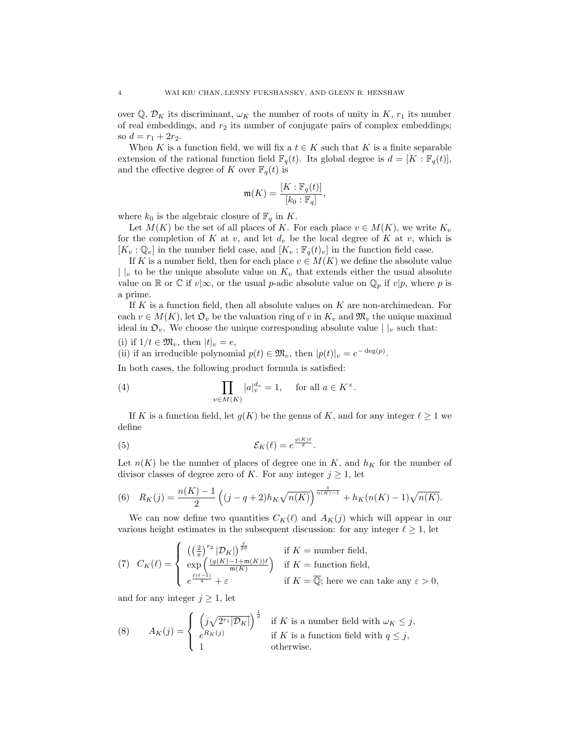over  $\mathbb{Q}, \mathcal{D}_K$  its discriminant,  $\omega_K$  the number of roots of unity in K,  $r_1$  its number of real embeddings, and  $r_2$  its number of conjugate pairs of complex embeddings; so  $d = r_1 + 2r_2$ .

When K is a function field, we will fix a  $t \in K$  such that K is a finite separable extension of the rational function field  $\mathbb{F}_q(t)$ . Its global degree is  $d = [K : \mathbb{F}_q(t)],$ and the effective degree of K over  $\mathbb{F}_q(t)$  is

$$
\mathfrak{m}(K) = \frac{[K:\mathbb{F}_q(t)]}{[k_0:\mathbb{F}_q]},
$$

where  $k_0$  is the algebraic closure of  $\mathbb{F}_q$  in K.

Let  $M(K)$  be the set of all places of K. For each place  $v \in M(K)$ , we write  $K_v$ for the completion of K at v, and let  $d_v$  be the local degree of K at v, which is  $[K_v : \mathbb{Q}_v]$  in the number field case, and  $[K_v : \mathbb{F}_q(t)_v]$  in the function field case.

If K is a number field, then for each place  $v \in M(K)$  we define the absolute value  $\vert v \vert$  to be the unique absolute value on  $K_v$  that extends either the usual absolute value on R or C if  $v|\infty$ , or the usual p-adic absolute value on  $\mathbb{Q}_p$  if  $v|p$ , where p is a prime.

If  $K$  is a function field, then all absolute values on  $K$  are non-archimedean. For each  $v \in M(K)$ , let  $\mathfrak{O}_v$  be the valuation ring of v in  $K_v$  and  $\mathfrak{M}_v$  the unique maximal ideal in  $\mathfrak{O}_v$ . We choose the unique corresponding absolute value  $| \cdot |_v$  such that:

(i) if 
$$
1/t \in \mathfrak{M}_v
$$
, then  $|t|_v = e$ ,

(ii) if an irreducible polynomial  $p(t) \in \mathfrak{M}_v$ , then  $|p(t)|_v = e^{-\deg(p)}$ .

In both cases, the following product formula is satisfied:

(4) 
$$
\prod_{v \in M(K)} |a|_v^{d_v} = 1, \quad \text{for all } a \in K^\times.
$$

If K is a function field, let  $g(K)$  be the genus of K, and for any integer  $\ell \geq 1$  we define

(5) 
$$
\mathcal{E}_K(\ell) = e^{\frac{g(K)\ell}{d}}.
$$

Let  $n(K)$  be the number of places of degree one in K, and  $h_K$  for the number of divisor classes of degree zero of K. For any integer  $j \geq 1$ , let

(6) 
$$
R_K(j) = \frac{n(K) - 1}{2} \left( (j - q + 2) h_K \sqrt{n(K)} \right)^{\frac{1}{n(K) - 1}} + h_K(n(K) - 1) \sqrt{n(K)}.
$$

We can now define two quantities  $C_K(\ell)$  and  $A_K(j)$  which will appear in our various height estimates in the subsequent discussion: for any integer  $\ell \geq 1$ , let

(7) 
$$
C_K(\ell) = \begin{cases} \left(\left(\frac{2}{\pi}\right)^{r_2} |\mathcal{D}_K|\right)^{\frac{\ell}{2d}} & \text{if } K = \text{number field,} \\ \exp\left(\frac{(g(K) - 1 + \mathfrak{m}(K))\ell}{\mathfrak{m}(K)}\right) & \text{if } K = \text{function field,} \\ e^{\frac{\ell(\ell-1)}{4}} + \varepsilon & \text{if } K = \overline{\mathbb{Q}}; \text{ here we can take any } \varepsilon > 0, \end{cases}
$$

and for any integer  $j \geq 1$ , let

(8) 
$$
A_K(j) = \begin{cases} \left(j\sqrt{2^{r_1}|\mathcal{D}_K|}\right)^{\frac{1}{d}} & \text{if } K \text{ is a number field with } \omega_K \leq j, \\ e^{R_K(j)} & \text{if } K \text{ is a function field with } q \leq j, \\ 1 & \text{otherwise.} \end{cases}
$$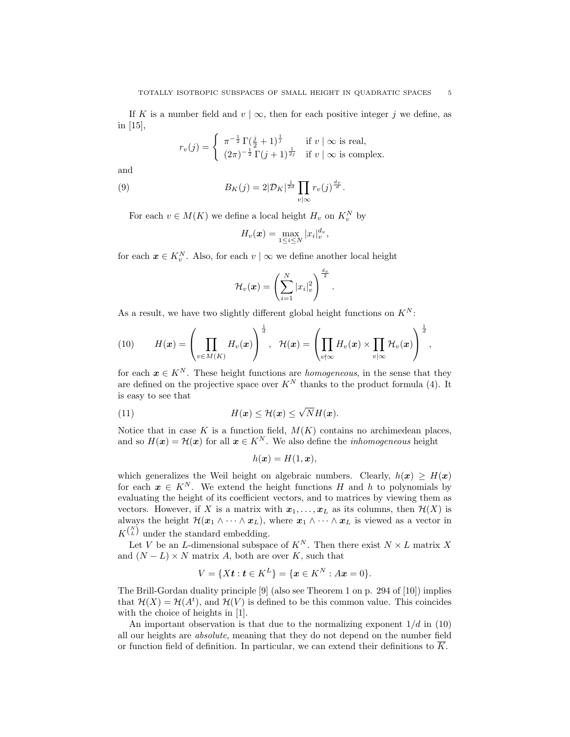If K is a number field and  $v | \infty$ , then for each positive integer j we define, as in [15],

$$
r_v(j) = \begin{cases} \pi^{-\frac{1}{2}} \Gamma(\frac{j}{2} + 1)^{\frac{1}{j}} & \text{if } v \mid \infty \text{ is real,} \\ (2\pi)^{-\frac{1}{2}} \Gamma(j+1)^{\frac{1}{2j}} & \text{if } v \mid \infty \text{ is complex.} \end{cases}
$$

and

(9) 
$$
B_K(j) = 2|\mathcal{D}_K|^{\frac{1}{2d}} \prod_{v \mid \infty} r_v(j)^{\frac{d_v}{d}}.
$$

For each  $v \in M(K)$  we define a local height  $H_v$  on  $K_v^N$  by

$$
H_v(\boldsymbol{x}) = \max_{1 \leq i \leq N} |x_i|_v^{d_v},
$$

for each  $x \in K_v^N$ . Also, for each  $v \mid \infty$  we define another local height

$$
\mathcal{H}_{v}(\boldsymbol{x}) = \left(\sum_{i=1}^{N} |x_i|_v^2\right)^{\frac{d_v}{2}}
$$

.

As a result, we have two slightly different global height functions on  $K^N$ :

(10) 
$$
H(\boldsymbol{x}) = \left(\prod_{v \in M(K)} H_v(\boldsymbol{x})\right)^{\frac{1}{d}}, \quad \mathcal{H}(\boldsymbol{x}) = \left(\prod_{v \nmid \infty} H_v(\boldsymbol{x}) \times \prod_{v \mid \infty} \mathcal{H}_v(\boldsymbol{x})\right)^{\frac{1}{d}},
$$

for each  $x \in K^N$ . These height functions are *homogeneous*, in the sense that they are defined on the projective space over  $K^N$  thanks to the product formula (4). It is easy to see that

(11) 
$$
H(\mathbf{x}) \leq \mathcal{H}(\mathbf{x}) \leq \sqrt{N}H(\mathbf{x}).
$$

Notice that in case K is a function field,  $M(K)$  contains no archimedean places, and so  $H(x) = \mathcal{H}(x)$  for all  $x \in K^N$ . We also define the *inhomogeneous* height

$$
h(\boldsymbol{x}) = H(1, \boldsymbol{x}),
$$

which generalizes the Weil height on algebraic numbers. Clearly,  $h(x) \geq H(x)$ for each  $x \in K^N$ . We extend the height functions H and h to polynomials by evaluating the height of its coefficient vectors, and to matrices by viewing them as vectors. However, if X is a matrix with  $x_1, \ldots, x_L$  as its columns, then  $\mathcal{H}(X)$  is always the height  $\mathcal{H}(\bm{x}_1 \wedge \cdots \wedge \bm{x}_L)$ , where  $\bm{x}_1 \wedge \cdots \wedge \bm{x}_L$  is viewed as a vector in  $K^{N \choose L}$  under the standard embedding.

Let V be an L-dimensional subspace of  $K^N$ . Then there exist  $N \times L$  matrix X and  $(N - L) \times N$  matrix A, both are over K, such that

$$
V = \{Xt : t \in K^L\} = \{x \in K^N : Ax = 0\}.
$$

The Brill-Gordan duality principle [9] (also see Theorem 1 on p. 294 of [10]) implies that  $\mathcal{H}(X) = \mathcal{H}(A^t)$ , and  $\mathcal{H}(V)$  is defined to be this common value. This coincides with the choice of heights in [1].

An important observation is that due to the normalizing exponent  $1/d$  in (10) all our heights are absolute, meaning that they do not depend on the number field or function field of definition. In particular, we can extend their definitions to  $\overline{K}$ .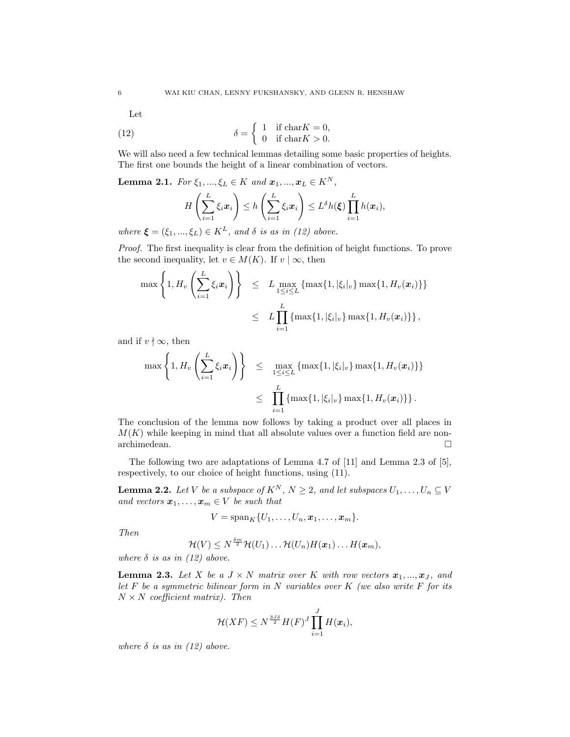Let

(12) 
$$
\delta = \begin{cases} 1 & \text{if } \text{char} K = 0, \\ 0 & \text{if } \text{char} K > 0. \end{cases}
$$

We will also need a few technical lemmas detailing some basic properties of heights. The first one bounds the height of a linear combination of vectors.

**Lemma 2.1.** For  $\xi_1, ..., \xi_L \in K$  and  $\mathbf{x}_1, ..., \mathbf{x}_L \in K^N$ ,

$$
H\left(\sum_{i=1}^L \xi_i \mathbf{x}_i\right) \leq h\left(\sum_{i=1}^L \xi_i \mathbf{x}_i\right) \leq L^{\delta}h(\xi) \prod_{i=1}^L h(\mathbf{x}_i),
$$

where  $\xi = (\xi_1, ..., \xi_L) \in K^L$ , and  $\delta$  is as in (12) above.

Proof. The first inequality is clear from the definition of height functions. To prove the second inequality, let  $v \in M(K)$ . If  $v | \infty$ , then

$$
\max\left\{1, H_v\left(\sum_{i=1}^L \xi_i \mathbf{x}_i\right)\right\} \le L \max_{1 \le i \le L} \{\max\{1, |\xi_i|_v\} \max\{1, H_v(\mathbf{x}_i)\}\}\
$$
  

$$
\le L \prod_{i=1}^L \{\max\{1, |\xi_i|_v\} \max\{1, H_v(\mathbf{x}_i)\}\},
$$

and if  $v \nmid \infty$ , then

$$
\max\left\{1, H_v\left(\sum_{i=1}^L \xi_i \mathbf{x}_i\right)\right\} \leq \max_{1 \leq i \leq L} \{\max\{1, |\xi_i|_v\} \max\{1, H_v(\mathbf{x}_i)\}\}\
$$
  

$$
\leq \prod_{i=1}^L \{\max\{1, |\xi_i|_v\} \max\{1, H_v(\mathbf{x}_i)\}\}.
$$

The conclusion of the lemma now follows by taking a product over all places in  $M(K)$  while keeping in mind that all absolute values over a function field are nonarchimedean. $\hfill \square$ 

The following two are adaptations of Lemma 4.7 of [11] and Lemma 2.3 of [5], respectively, to our choice of height functions, using (11).

**Lemma 2.2.** Let V be a subspace of  $K^N$ ,  $N \geq 2$ , and let subspaces  $U_1, \ldots, U_n \subseteq V$ and vectors  $\boldsymbol{x}_1, \ldots, \boldsymbol{x}_m \in V$  be such that

$$
V=\mathrm{span}_K\{U_1,\ldots,U_n,\boldsymbol{x}_1,\ldots,\boldsymbol{x}_m\}.
$$

Then

$$
\mathcal{H}(V) \leq N^{\frac{\delta m}{2}} \mathcal{H}(U_1) \ldots \mathcal{H}(U_n) H(\boldsymbol{x}_1) \ldots H(\boldsymbol{x}_m),
$$

where  $\delta$  is as in (12) above.

**Lemma 2.3.** Let X be a  $J \times N$  matrix over K with row vectors  $x_1, ..., x_J$ , and let  $F$  be a symmetric bilinear form in  $N$  variables over  $K$  (we also write  $F$  for its  $N \times N$  coefficient matrix). Then

$$
\mathcal{H}(XF) \leq N^{\frac{3J\delta}{2}}H(F)^J\prod_{i=1}^J H(\boldsymbol{x}_i),
$$

where  $\delta$  is as in (12) above.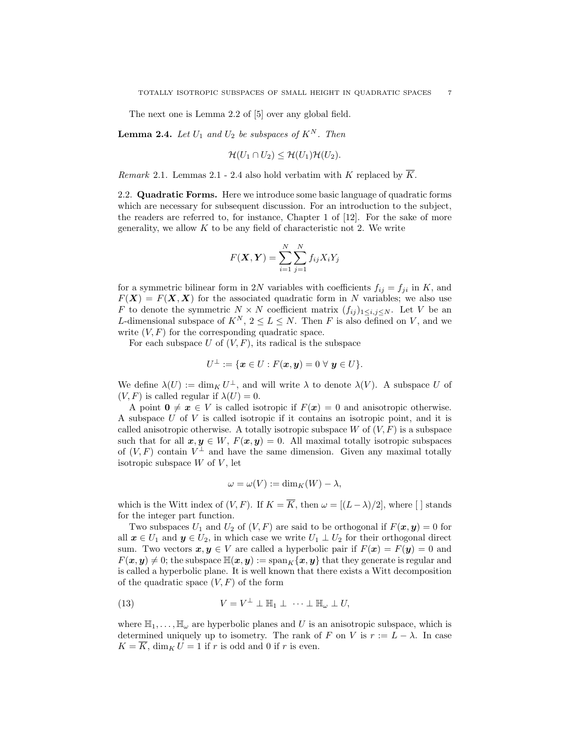The next one is Lemma 2.2 of [5] over any global field.

**Lemma 2.4.** Let  $U_1$  and  $U_2$  be subspaces of  $K^N$ . Then

$$
\mathcal{H}(U_1 \cap U_2) \leq \mathcal{H}(U_1)\mathcal{H}(U_2).
$$

*Remark* 2.1. Lemmas 2.1 - 2.4 also hold verbatim with K replaced by  $\overline{K}$ .

2.2. Quadratic Forms. Here we introduce some basic language of quadratic forms which are necessary for subsequent discussion. For an introduction to the subject, the readers are referred to, for instance, Chapter 1 of [12]. For the sake of more generality, we allow  $K$  to be any field of characteristic not 2. We write

$$
F(\boldsymbol{X}, \boldsymbol{Y}) = \sum_{i=1}^{N} \sum_{j=1}^{N} f_{ij} X_i Y_j
$$

for a symmetric bilinear form in 2N variables with coefficients  $f_{ij} = f_{ji}$  in K, and  $F(X) = F(X, X)$  for the associated quadratic form in N variables; we also use F to denote the symmetric  $N \times N$  coefficient matrix  $(f_{ij})_{1 \leq i,j \leq N}$ . Let V be an L-dimensional subspace of  $K^N$ ,  $2 \leq L \leq N$ . Then F is also defined on V, and we write  $(V, F)$  for the corresponding quadratic space.

For each subspace U of  $(V, F)$ , its radical is the subspace

$$
U^{\perp} := \{ \boldsymbol{x} \in U : F(\boldsymbol{x}, \boldsymbol{y}) = 0 \,\,\forall \,\, \boldsymbol{y} \in U \}.
$$

We define  $\lambda(U) := \dim_K U^{\perp}$ , and will write  $\lambda$  to denote  $\lambda(V)$ . A subspace U of  $(V, F)$  is called regular if  $\lambda(U) = 0$ .

A point  $0 \neq x \in V$  is called isotropic if  $F(x) = 0$  and anisotropic otherwise. A subspace U of V is called isotropic if it contains an isotropic point, and it is called anisotropic otherwise. A totally isotropic subspace  $W$  of  $(V, F)$  is a subspace such that for all  $x, y \in W$ ,  $F(x, y) = 0$ . All maximal totally isotropic subspaces of  $(V, F)$  contain  $V^{\perp}$  and have the same dimension. Given any maximal totally isotropic subspace  $W$  of  $V$ , let

$$
\omega = \omega(V) := \dim_K(W) - \lambda,
$$

which is the Witt index of  $(V, F)$ . If  $K = \overline{K}$ , then  $\omega = \frac{(L - \lambda)}{2}$ , where  $\lceil \cdot \rceil$  stands for the integer part function.

Two subspaces  $U_1$  and  $U_2$  of  $(V, F)$  are said to be orthogonal if  $F(\mathbf{x}, \mathbf{y}) = 0$  for all  $x \in U_1$  and  $y \in U_2$ , in which case we write  $U_1 \perp U_2$  for their orthogonal direct sum. Two vectors  $x, y \in V$  are called a hyperbolic pair if  $F(x) = F(y) = 0$  and  $F(x, y) \neq 0$ ; the subspace  $\mathbb{H}(x, y) := \text{span}_K\{x, y\}$  that they generate is regular and is called a hyperbolic plane. It is well known that there exists a Witt decomposition of the quadratic space  $(V, F)$  of the form

(13) 
$$
V = V^{\perp} \perp \mathbb{H}_1 \perp \cdots \perp \mathbb{H}_{\omega} \perp U,
$$

where  $\mathbb{H}_1, \ldots, \mathbb{H}_{\omega}$  are hyperbolic planes and U is an anisotropic subspace, which is determined uniquely up to isometry. The rank of F on V is  $r := L - \lambda$ . In case  $K = \overline{K}$ , dim<sub>K</sub>  $U = 1$  if r is odd and 0 if r is even.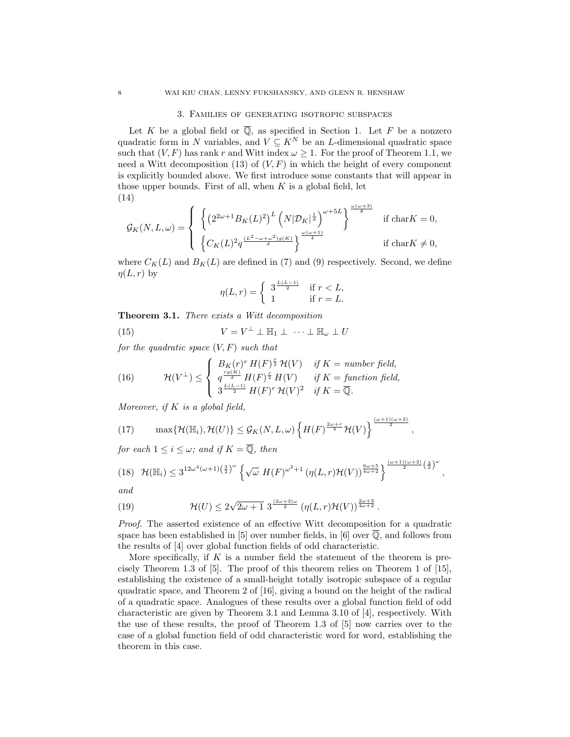#### 3. Families of generating isotropic subspaces

Let K be a global field or  $\overline{Q}$ , as specified in Section 1. Let F be a nonzero quadratic form in N variables, and  $V \subseteq K^N$  be an L-dimensional quadratic space such that  $(V, F)$  has rank r and Witt index  $\omega \geq 1$ . For the proof of Theorem 1.1, we need a Witt decomposition (13) of  $(V, F)$  in which the height of every component is explicitly bounded above. We first introduce some constants that will appear in those upper bounds. First of all, when  $K$  is a global field, let (14)

$$
\mathcal{G}_K(N,L,\omega) = \left\{ \begin{array}{l} \left\{ \left( 2^{2\omega +1} B_K(L)^2 \right)^L \left( N |\mathcal{D}_K|^{\frac{1}{d}} \right)^{\omega +5L} \right\}^{\frac{\omega (\omega +3)}{8}} & \text{if } \mathrm{char} K = 0, \\ \\ \left\{ C_K(L)^2 q^{\frac{(L^2-\omega +\omega^2)g(K)}{d}} \right\}^{\frac{\omega (\omega +1)}{4}} & \text{if } \mathrm{char} K \neq 0, \end{array} \right.
$$

where  $C_K(L)$  and  $B_K(L)$  are defined in (7) and (9) respectively. Second, we define  $\eta(L, r)$  by

$$
\eta(L,r) = \begin{cases} 3^{\frac{L(L-1)}{2}} & \text{if } r < L, \\ 1 & \text{if } r = L. \end{cases}
$$

Theorem 3.1. There exists a Witt decomposition

(15)  $V = V^{\perp} \perp \mathbb{H}_1 \perp \cdots \perp \mathbb{H}_{\omega} \perp U$ 

for the quadratic space  $(V, F)$  such that

(16) 
$$
\mathcal{H}(V^{\perp}) \leq \begin{cases} B_K(r)^r H(F)^{\frac{r}{2}} \mathcal{H}(V) & \text{if } K = \text{ number field,} \\ q^{\frac{rg(K)}{d}} H(F)^{\frac{r}{2}} H(V) & \text{if } K = \text{function field,} \\ 3^{\frac{L(L-1)}{2}} H(F)^r \mathcal{H}(V)^2 & \text{if } K = \overline{\mathbb{Q}}. \end{cases}
$$

Moreover, if  $K$  is a global field,

(17) 
$$
\max\{\mathcal{H}(\mathbb{H}_i),\mathcal{H}(U)\}\leq \mathcal{G}_K(N,L,\omega)\left\{H(F)^{\frac{2\omega+r}{4}}\mathcal{H}(V)\right\}^{\frac{(\omega+1)(\omega+2)}{2}}
$$

for each  $1 \leq i \leq \omega$ ; and if  $K = \overline{Q}$ , then

$$
(18)\quad \mathcal{H}(\mathbb{H}_i)\leq 3^{12\omega^4(\omega+1)\left(\frac{3}{2}\right)^{\omega}}\left\{\sqrt{\omega} H(F)^{\omega^2+1}\left(\eta(L,r)\mathcal{H}(V)\right)^{\frac{6\omega+5}{4\omega+2}}\right\}^{\frac{(\omega+1)(\omega+2)}{2}\left(\frac{3}{2}\right)^{\omega}},
$$

,

and

(19) 
$$
\mathcal{H}(U) \leq 2\sqrt{2\omega+1} \; 3^{\frac{(2\omega+3)\omega}{2}} \left(\eta(L,r)\mathcal{H}(V)\right)^{\frac{2\omega+3}{4\omega+2}}.
$$

Proof. The asserted existence of an effective Witt decomposition for a quadratic space has been established in [5] over number fields, in [6] over  $\overline{Q}$ , and follows from the results of [4] over global function fields of odd characteristic.

More specifically, if  $K$  is a number field the statement of the theorem is precisely Theorem 1.3 of [5]. The proof of this theorem relies on Theorem 1 of [15], establishing the existence of a small-height totally isotropic subspace of a regular quadratic space, and Theorem 2 of [16], giving a bound on the height of the radical of a quadratic space. Analogues of these results over a global function field of odd characteristic are given by Theorem 3.1 and Lemma 3.10 of [4], respectively. With the use of these results, the proof of Theorem 1.3 of [5] now carries over to the case of a global function field of odd characteristic word for word, establishing the theorem in this case.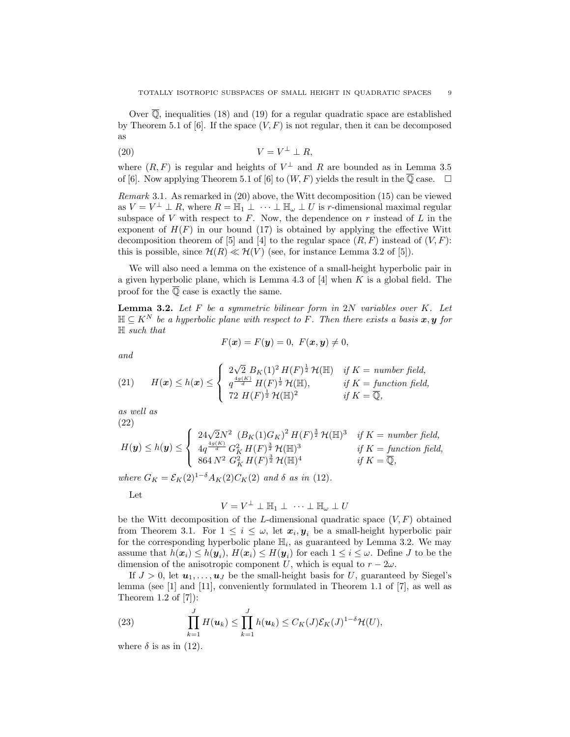Over  $\overline{\mathbb{Q}}$ , inequalities (18) and (19) for a regular quadratic space are established by Theorem 5.1 of [6]. If the space  $(V, F)$  is not regular, then it can be decomposed as

$$
(20) \t\t V = V^{\perp} \perp R,
$$

where  $(R, F)$  is regular and heights of  $V^{\perp}$  and R are bounded as in Lemma 3.5 of [6]. Now applying Theorem 5.1 of [6] to  $(W, F)$  yields the result in the  $\overline{Q}$  case.  $\Box$ 

Remark 3.1. As remarked in (20) above, the Witt decomposition (15) can be viewed as  $V = V^{\perp} \perp R$ , where  $R = \mathbb{H}_1 \perp \cdots \perp \mathbb{H}_{\omega} \perp U$  is r-dimensional maximal regular subspace of V with respect to  $F$ . Now, the dependence on  $r$  instead of  $L$  in the exponent of  $H(F)$  in our bound (17) is obtained by applying the effective Witt decomposition theorem of [5] and [4] to the regular space  $(R, F)$  instead of  $(V, F)$ : this is possible, since  $\mathcal{H}(R) \ll \mathcal{H}(V)$  (see, for instance Lemma 3.2 of [5]).

We will also need a lemma on the existence of a small-height hyperbolic pair in a given hyperbolic plane, which is Lemma 4.3 of  $[4]$  when K is a global field. The proof for the  $\overline{Q}$  case is exactly the same.

**Lemma 3.2.** Let  $F$  be a symmetric bilinear form in  $2N$  variables over  $K$ . Let  $\mathbb{H} \subset K^N$  be a hyperbolic plane with respect to F. Then there exists a basis  $x, y$  for H such that

$$
F(\boldsymbol{x}) = F(\boldsymbol{y}) = 0, \ F(\boldsymbol{x}, \boldsymbol{y}) \neq 0,
$$

and

(21) 
$$
H(\boldsymbol{x}) \leq h(\boldsymbol{x}) \leq \begin{cases} 2\sqrt{2} B_K(1)^2 H(F)^{\frac{1}{2}} H(\mathbb{H}) & \text{if } K = \text{ number field,} \\ q^{\frac{4g(K)}{d}} H(F)^{\frac{1}{2}} H(\mathbb{H}), & \text{if } K = \text{function field,} \\ 72 H(F)^{\frac{1}{2}} H(\mathbb{H})^2 & \text{if } K = \overline{\mathbb{Q}}, \end{cases}
$$

as well as (22)

$$
H(\mathbf{y}) \le h(\mathbf{y}) \le \begin{cases} 24\sqrt{2}N^2 \left( B_K(1)G_K \right)^2 H(F)^{\frac{3}{2}} \mathcal{H}(\mathbb{H})^3 & \text{if } K = \text{ number field,} \\ 4q^{\frac{4g(K)}{d}} G_K^2 H(F)^{\frac{3}{2}} \mathcal{H}(\mathbb{H})^3 & \text{if } K = \text{ function field,} \\ 864 N^2 \ G_K^2 H(F)^{\frac{3}{2}} \mathcal{H}(\mathbb{H})^4 & \text{if } K = \overline{\mathbb{Q}}, \end{cases}
$$

where  $G_K = \mathcal{E}_K(2)^{1-\delta} A_K(2) C_K(2)$  and  $\delta$  as in (12).

Let

$$
V = V^{\perp} \perp \mathbb{H}_1 \perp \cdots \perp \mathbb{H}_{\omega} \perp U
$$

be the Witt decomposition of the L-dimensional quadratic space  $(V, F)$  obtained from Theorem 3.1. For  $1 \leq i \leq \omega$ , let  $\mathbf{x}_i, \mathbf{y}_i$  be a small-height hyperbolic pair for the corresponding hyperbolic plane  $\mathbb{H}_i$ , as guaranteed by Lemma 3.2. We may assume that  $h(\boldsymbol{x}_i) \leq h(\boldsymbol{y}_i)$ ,  $H(\boldsymbol{x}_i) \leq H(\boldsymbol{y}_i)$  for each  $1 \leq i \leq \omega$ . Define J to be the dimension of the anisotropic component U, which is equal to  $r - 2\omega$ .

If  $J > 0$ , let  $u_1, \ldots, u_J$  be the small-height basis for U, guaranteed by Siegel's lemma (see  $\begin{bmatrix} 1 \end{bmatrix}$  and  $\begin{bmatrix} 11 \end{bmatrix}$ , conveniently formulated in Theorem 1.1 of  $\begin{bmatrix} 7 \end{bmatrix}$ , as well as Theorem 1.2 of [7]):

(23) 
$$
\prod_{k=1}^{J} H(\boldsymbol{u}_k) \leq \prod_{k=1}^{J} h(\boldsymbol{u}_k) \leq C_K(J) \mathcal{E}_K(J)^{1-\delta} \mathcal{H}(U),
$$

where  $\delta$  is as in (12).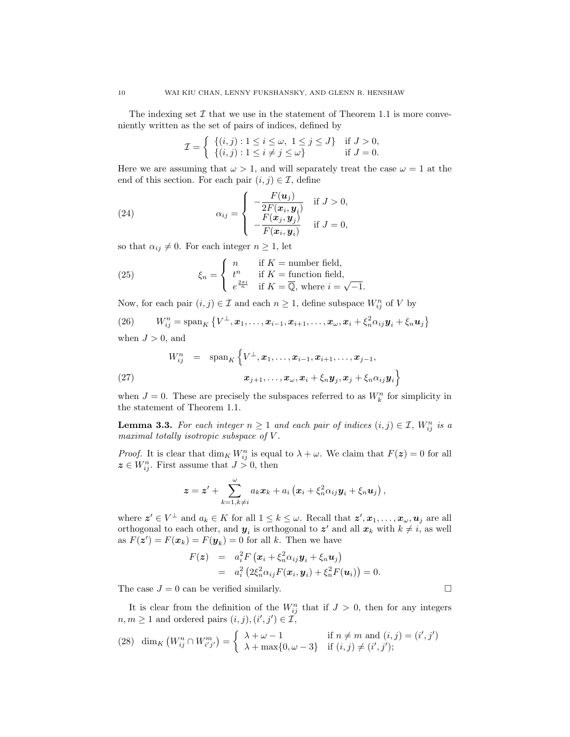The indexing set  $\mathcal I$  that we use in the statement of Theorem 1.1 is more conveniently written as the set of pairs of indices, defined by

$$
\mathcal{I} = \left\{ \begin{array}{ll} \{(i,j): 1 \leq i \leq \omega, \ 1 \leq j \leq J\} & \text{if } J > 0, \\ \{(i,j): 1 \leq i \neq j \leq \omega\} & \text{if } J = 0. \end{array} \right.
$$

Here we are assuming that  $\omega > 1$ , and will separately treat the case  $\omega = 1$  at the end of this section. For each pair  $(i, j) \in \mathcal{I}$ , define

(24) 
$$
\alpha_{ij} = \begin{cases} -\frac{F(\boldsymbol{u}_j)}{2F(\boldsymbol{x}_i, \boldsymbol{y}_i)} & \text{if } J > 0, \\ -\frac{F(\boldsymbol{x}_j, \boldsymbol{y}_j)}{F(\boldsymbol{x}_i, \boldsymbol{y}_i)} & \text{if } J = 0, \end{cases}
$$

so that  $\alpha_{ij} \neq 0$ . For each integer  $n \geq 1$ , let

(25) 
$$
\xi_n = \begin{cases} n & \text{if } K = \text{number field,} \\ t^n & \text{if } K = \text{function field,} \\ e^{\frac{2\pi i}{n}} & \text{if } K = \overline{\mathbb{Q}}, \text{ where } i = \sqrt{-1}. \end{cases}
$$

Now, for each pair  $(i, j) \in \mathcal{I}$  and each  $n \geq 1$ , define subspace  $W_{ij}^n$  of V by

(26) 
$$
W_{ij}^n = \operatorname{span}_K \left\{ V^{\perp}, x_1, \ldots, x_{i-1}, x_{i+1}, \ldots, x_{\omega}, x_i + \xi_n^2 \alpha_{ij} y_i + \xi_n u_j \right\}
$$

when  $J > 0$ , and

(27) 
$$
W_{ij}^n = \operatorname{span}_K \left\{ V^{\perp}, x_1, \ldots, x_{i-1}, x_{i+1}, \ldots, x_{j-1},
$$

$$
x_{j+1}, \ldots, x_{\omega}, x_i + \xi_n y_j, x_j + \xi_n \alpha_{ij} y_i \right\}
$$

when  $J = 0$ . These are precisely the subspaces referred to as  $W_k^n$  for simplicity in the statement of Theorem 1.1.

**Lemma 3.3.** For each integer  $n \geq 1$  and each pair of indices  $(i, j) \in \mathcal{I}$ ,  $W_{ij}^n$  is a maximal totally isotropic subspace of V.

*Proof.* It is clear that  $\dim_K W_{ij}^n$  is equal to  $\lambda + \omega$ . We claim that  $F(z) = 0$  for all  $z \in W_{ij}^n$ . First assume that  $J > 0$ , then

$$
\boldsymbol{z} = \boldsymbol{z}' + \sum_{k=1, k\neq i}^{\omega} a_k \boldsymbol{x}_k + a_i \left( \boldsymbol{x}_i + \xi_n^2 \alpha_{ij} \boldsymbol{y}_i + \xi_n \boldsymbol{u}_j \right),
$$

where  $\mathbf{z}' \in V^{\perp}$  and  $a_k \in K$  for all  $1 \leq k \leq \omega$ . Recall that  $\mathbf{z}', \mathbf{x}_1, \ldots, \mathbf{x}_{\omega}, \mathbf{u}_j$  are all orthogonal to each other, and  $y_i$  is orthogonal to  $z'$  and all  $x_k$  with  $k \neq i$ , as well as  $F(z') = F(x_k) = F(y_k) = 0$  for all k. Then we have

$$
F(\boldsymbol{z}) = a_i^2 F\left(\boldsymbol{x}_i + \xi_n^2 \alpha_{ij} \boldsymbol{y}_i + \xi_n \boldsymbol{u}_j\right)
$$
  
= 
$$
a_i^2 \left(2\xi_n^2 \alpha_{ij} F(\boldsymbol{x}_i, \boldsymbol{y}_i) + \xi_n^2 F(\boldsymbol{u}_i)\right) = 0.
$$

The case  $J = 0$  can be verified similarly.

It is clear from the definition of the  $W_{ij}^n$  that if  $J > 0$ , then for any integers  $n, m \geq 1$  and ordered pairs  $(i, j), (i', j') \in \mathcal{I}$ ,

(28) 
$$
\dim_K (W_{ij}^n \cap W_{i'j'}^m) = \begin{cases} \lambda + \omega - 1 & \text{if } n \neq m \text{ and } (i, j) = (i', j')\\ \lambda + \max\{0, \omega - 3\} & \text{if } (i, j) \neq (i', j'); \end{cases}
$$

$$
\sqcup
$$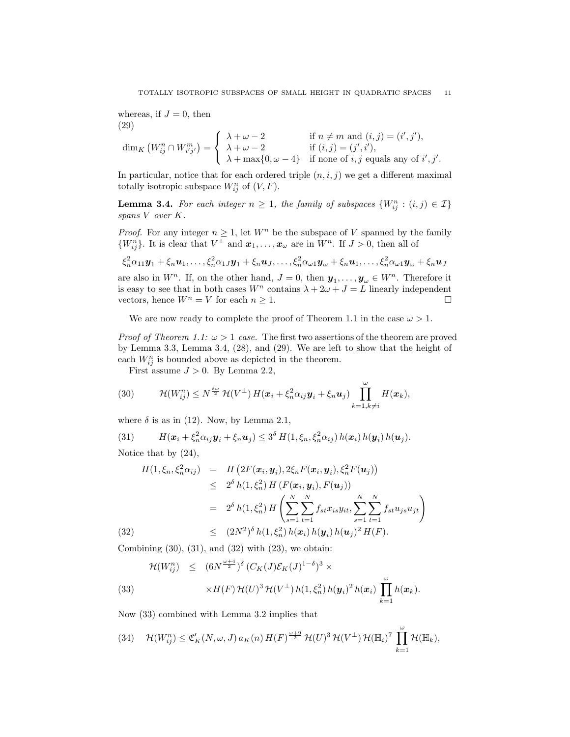whereas, if  $J = 0$ , then (29)

$$
\dim_K \left( W_{ij}^n \cap W_{i'j'}^m \right) = \begin{cases} \lambda + \omega - 2 & \text{if } n \neq m \text{ and } (i,j) = (i',j'),\\ \lambda + \omega - 2 & \text{if } (i,j) = (j',i'),\\ \lambda + \max\{0, \omega - 4\} & \text{if none of } i, j \text{ equals any of } i', j'. \end{cases}
$$

In particular, notice that for each ordered triple  $(n, i, j)$  we get a different maximal totally isotropic subspace  $W_{ij}^n$  of  $(V, F)$ .

**Lemma 3.4.** For each integer  $n \geq 1$ , the family of subspaces  $\{W_{ij}^n : (i,j) \in \mathcal{I}\}\$ spans V over K.

*Proof.* For any integer  $n \geq 1$ , let  $W^n$  be the subspace of V spanned by the family  $\{W_{ij}^n\}$ . It is clear that  $V^{\perp}$  and  $\boldsymbol{x}_1,\ldots,\boldsymbol{x}_{\omega}$  are in  $W^n$ . If  $J>0$ , then all of

$$
\xi_n^2\alpha_{11}\mathbf{y}_1+\xi_n\mathbf{u}_1,\ldots,\xi_n^2\alpha_{1J}\mathbf{y}_1+\xi_n\mathbf{u}_J,\ldots,\xi_n^2\alpha_{\omega 1}\mathbf{y}_{\omega}+\xi_n\mathbf{u}_1,\ldots,\xi_n^2\alpha_{\omega 1}\mathbf{y}_{\omega}+\xi_n\mathbf{u}_J
$$

are also in  $W^n$ . If, on the other hand,  $J = 0$ , then  $y_1, \ldots, y_{\omega} \in W^n$ . Therefore it is easy to see that in both cases  $W^n$  contains  $\lambda + 2\omega + J = L$  linearly independent vectors, hence  $W^n = V$  for each  $n \geq 1$ .

We are now ready to complete the proof of Theorem 1.1 in the case  $\omega > 1$ .

*Proof of Theorem 1.1:*  $\omega > 1$  *case.* The first two assertions of the theorem are proved by Lemma 3.3, Lemma 3.4, (28), and (29). We are left to show that the height of each  $W_{ij}^n$  is bounded above as depicted in the theorem.

First assume  $J > 0$ . By Lemma 2.2,

(30) 
$$
\mathcal{H}(W_{ij}^n) \leq N^{\frac{\delta \omega}{2}} \mathcal{H}(V^{\perp}) H(\boldsymbol{x}_i + \xi_n^2 \alpha_{ij} \boldsymbol{y}_i + \xi_n \boldsymbol{u}_j) \prod_{k=1, k \neq i}^{\omega} H(\boldsymbol{x}_k),
$$

where  $\delta$  is as in (12). Now, by Lemma 2.1,

(31) 
$$
H(\boldsymbol{x}_i + \xi_n^2 \alpha_{ij} \boldsymbol{y}_i + \xi_n \boldsymbol{u}_j) \leq 3^{\delta} H(1, \xi_n, \xi_n^2 \alpha_{ij}) h(\boldsymbol{x}_i) h(\boldsymbol{y}_i) h(\boldsymbol{u}_j).
$$

Notice that by (24),

(32)  
\n
$$
H(1, \xi_n, \xi_n^2 \alpha_{ij}) = H\left(2F(\boldsymbol{x}_i, \boldsymbol{y}_i), 2\xi_n F(\boldsymbol{x}_i, \boldsymbol{y}_i), \xi_n^2 F(\boldsymbol{u}_j)\right) \leq 2^{\delta} h(1, \xi_n^2) H\left(F(\boldsymbol{x}_i, \boldsymbol{y}_i), F(\boldsymbol{u}_j)\right) \n= 2^{\delta} h(1, \xi_n^2) H\left(\sum_{s=1}^N \sum_{t=1}^N f_{st} x_{is} y_{it}, \sum_{s=1}^N \sum_{t=1}^N f_{st} u_{js} u_{jt}\right) \n\leq (2N^2)^{\delta} h(1, \xi_n^2) h(\boldsymbol{x}_i) h(\boldsymbol{y}_i) h(\boldsymbol{u}_j)^2 H(F).
$$

Combining  $(30)$ ,  $(31)$ , and  $(32)$  with  $(23)$ , we obtain:

(33) 
$$
\mathcal{H}(W_{ij}^n) \leq (6N^{\frac{\omega+4}{2}})^{\delta} (C_K(J)\mathcal{E}_K(J)^{1-\delta})^3 \times \times H(F) \mathcal{H}(U)^3 \mathcal{H}(V^{\perp}) h(1,\xi_n^2) h(\mathbf{y}_i)^2 h(\mathbf{x}_i) \prod_{k=1}^{\omega} h(\mathbf{x}_k).
$$

Now (33) combined with Lemma 3.2 implies that

(34) 
$$
\mathcal{H}(W_{ij}^n) \leq \mathfrak{C}'_K(N,\omega,J) a_K(n) H(F)^{\frac{\omega+9}{2}} \mathcal{H}(U)^3 \mathcal{H}(V^{\perp}) \mathcal{H}(\mathbb{H}_i)^7 \prod_{k=1}^{\omega} \mathcal{H}(\mathbb{H}_k),
$$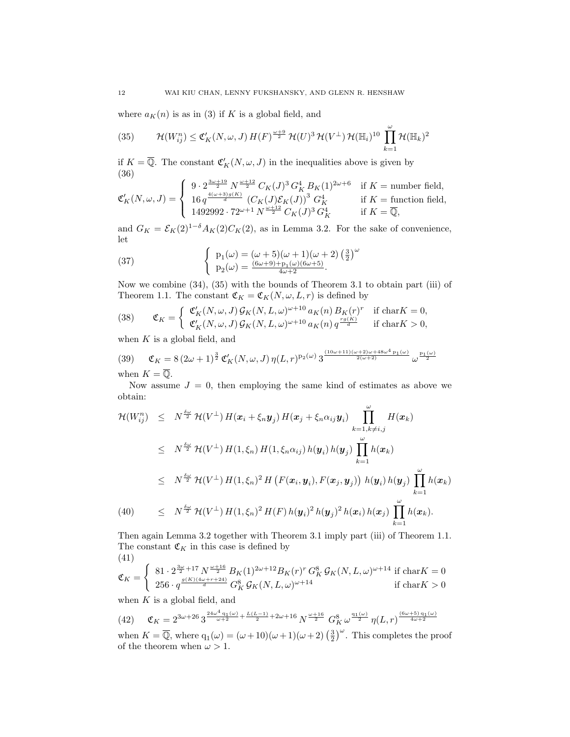where  $a_K(n)$  is as in (3) if K is a global field, and

(35) 
$$
\mathcal{H}(W_{ij}^n) \leq \mathfrak{C}'_K(N,\omega,J) H(F)^{\frac{\omega+9}{2}} \mathcal{H}(U)^3 \mathcal{H}(V^{\perp}) \mathcal{H}(\mathbb{H}_i)^{10} \prod_{k=1}^{\omega} \mathcal{H}(\mathbb{H}_k)^2
$$

if  $K = \overline{\mathbb{Q}}$ . The constant  $\mathfrak{C}'_K(N, \omega, J)$  in the inequalities above is given by (36)  $\mathcal{L}$ 

$$
\mathfrak{C}'_K(N,\omega,J)=\left\{\begin{array}{ll} 9\cdot 2^{\frac{3\omega+19}{2}}\,N^{\frac{\omega+12}{2}}\,C_K(J)^3\,G_K^4\,B_K(1)^{2\omega+6}&\text{if }K=\text{number field},\\ 16\,q^{\frac{4(\omega+3)g(K)}{d}}\,\left(C_K(J)\mathcal{E}_K(J)\right)^3\,G_K^4&\text{if }K=\text{function field},\\ 1492992\cdot72^{\omega+1}\,N^{\frac{\omega+12}{2}}\,C_K(J)^3\,G_K^4&\text{if }K=\overline{\mathbb{Q}}, \end{array}\right.
$$

and  $G_K = \mathcal{E}_K(2)^{1-\delta} A_K(2) C_K(2)$ , as in Lemma 3.2. For the sake of convenience, let

(37) 
$$
\begin{cases} p_1(\omega) = (\omega + 5)(\omega + 1)(\omega + 2)(\frac{3}{2})^{\omega} \\ p_2(\omega) = \frac{(6\omega + 9) + p_1(\omega)(6\omega + 5)}{4\omega + 2}. \end{cases}
$$

Now we combine (34), (35) with the bounds of Theorem 3.1 to obtain part (iii) of Theorem 1.1. The constant  $\mathfrak{C}_K = \mathfrak{C}_K(N, \omega, L, r)$  is defined by

(38) 
$$
\mathfrak{C}_K = \begin{cases} \mathfrak{C}'_K(N,\omega,J) \mathcal{G}_K(N,L,\omega)^{\omega+10} a_K(n) B_K(r)^r & \text{if char } K = 0, \\ \mathfrak{C}'_K(N,\omega,J) \mathcal{G}_K(N,L,\omega)^{\omega+10} a_K(n) q^{\frac{rg(K)}{d}} & \text{if char } K > 0, \end{cases}
$$

when  $K$  is a global field, and

$$
(39) \quad \mathfrak{C}_K = 8 \left( 2\omega + 1 \right)^{\frac{3}{2}} \mathfrak{C}'_K(N, \omega, J) \, \eta(L, r)^{p_2(\omega)} \, 3^{\frac{(10\omega + 11)(\omega + 2)\omega + 48\omega^4 p_1(\omega)}{2(\omega + 2)}} \, \omega^{\frac{p_1(\omega)}{2}}
$$

when  $K = \mathbb{Q}$ .

Now assume  $J = 0$ , then employing the same kind of estimates as above we obtain:

$$
\mathcal{H}(W_{ij}^n) \leq N^{\frac{\delta\omega}{2}} \mathcal{H}(V^{\perp}) H(\boldsymbol{x}_i + \xi_n \boldsymbol{y}_j) H(\boldsymbol{x}_j + \xi_n \alpha_{ij} \boldsymbol{y}_i) \prod_{k=1, k \neq i, j}^{\omega} H(\boldsymbol{x}_k)
$$
\n
$$
\leq N^{\frac{\delta\omega}{2}} \mathcal{H}(V^{\perp}) H(1, \xi_n) H(1, \xi_n \alpha_{ij}) h(\boldsymbol{y}_i) h(\boldsymbol{y}_j) \prod_{k=1}^{\omega} h(\boldsymbol{x}_k)
$$
\n
$$
\leq N^{\frac{\delta\omega}{2}} \mathcal{H}(V^{\perp}) H(1, \xi_n)^2 H(F(\boldsymbol{x}_i, \boldsymbol{y}_i), F(\boldsymbol{x}_j, \boldsymbol{y}_j)) h(\boldsymbol{y}_i) h(\boldsymbol{y}_j) \prod_{k=1}^{\omega} h(\boldsymbol{x}_k)
$$
\n(40) 
$$
\leq N^{\frac{\delta\omega}{2}} \mathcal{H}(V^{\perp}) H(1, \xi_n)^2 H(F) h(\boldsymbol{y}_i)^2 h(\boldsymbol{y}_j)^2 h(\boldsymbol{x}_i) h(\boldsymbol{x}_j) \prod_{k=1}^{\omega} h(\boldsymbol{x}_k).
$$

Then again Lemma 3.2 together with Theorem 3.1 imply part (iii) of Theorem 1.1. The constant  $\mathfrak{C}_K$  in this case is defined by (41)

$$
\mathfrak{C}_K = \begin{cases} 81 \cdot 2^{\frac{3\omega}{2} + 17} N^{\frac{\omega + 16}{2}} B_K(1)^{2\omega + 12} B_K(r)^r G_K^8 \mathcal{G}_K(N, L, \omega)^{\omega + 14} \text{ if char } K = 0\\ 256 \cdot q^{\frac{g(K)(4\omega + r + 24)}{d}} G_K^8 \mathcal{G}_K(N, L, \omega)^{\omega + 14} \text{ if char } K > 0 \end{cases}
$$

when  $K$  is a global field, and

(42) 
$$
\mathfrak{C}_K = 2^{3\omega + 26} 3^{\frac{24\omega^4 + 1(\omega)}{\omega + 2} + \frac{L(L-1)}{2} + 2\omega + 16} N^{\frac{\omega + 16}{2}} G_K^8 \omega^{\frac{q_1(\omega)}{2}} \eta(L, r)^{\frac{(6\omega + 5) q_1(\omega)}{4\omega + 2}}
$$

when  $K = \overline{Q}$ , where  $q_1(\omega) = (\omega + 10)(\omega + 1)(\omega + 2)(\frac{3}{2})^{\omega}$ . This completes the proof of the theorem when  $\omega > 1.$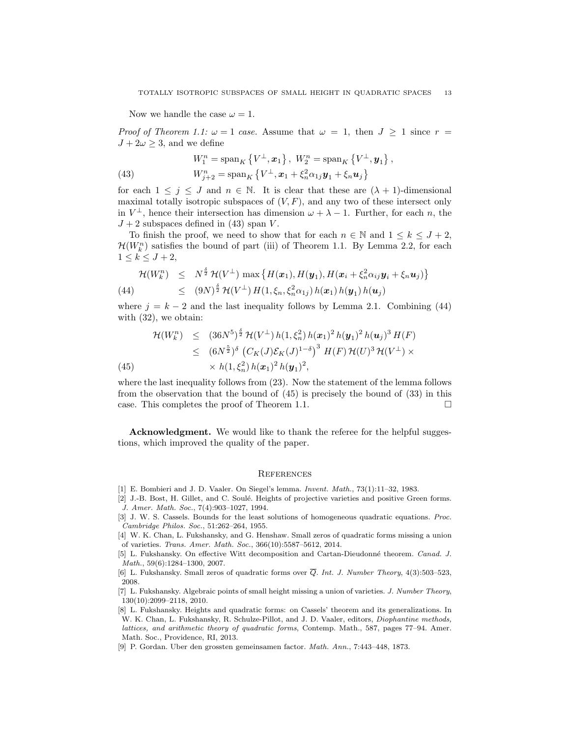Now we handle the case  $\omega = 1$ .

*Proof of Theorem 1.1:*  $\omega = 1$  case. Assume that  $\omega = 1$ , then  $J \ge 1$  since  $r =$  $J + 2\omega \geq 3$ , and we define

(43) 
$$
W_1^n = \text{span}_K \{ V^{\perp}, \mathbf{x}_1 \}, W_2^n = \text{span}_K \{ V^{\perp}, \mathbf{y}_1 \},
$$

$$
W_{j+2}^n = \text{span}_K \{ V^{\perp}, \mathbf{x}_1 + \xi_n^2 \alpha_{1j} \mathbf{y}_1 + \xi_n \mathbf{u}_j \}
$$

for each  $1 \leq j \leq J$  and  $n \in \mathbb{N}$ . It is clear that these are  $(\lambda + 1)$ -dimensional maximal totally isotropic subspaces of  $(V, F)$ , and any two of these intersect only in  $V^{\perp}$ , hence their intersection has dimension  $\omega + \lambda - 1$ . Further, for each n, the  $J+2$  subspaces defined in (43) span V.

To finish the proof, we need to show that for each  $n \in \mathbb{N}$  and  $1 \leq k \leq J+2$ ,  $\mathcal{H}(W_k^n)$  satisfies the bound of part (iii) of Theorem 1.1. By Lemma 2.2, for each  $1 \leq k \leq J+2$ ,

$$
\mathcal{H}(W_k^n) \leq N^{\frac{\delta}{2}} \mathcal{H}(V^{\perp}) \max \left\{ H(\boldsymbol{x}_1), H(\boldsymbol{y}_1), H(\boldsymbol{x}_i + \xi_n^2 \alpha_{ij} \boldsymbol{y}_i + \xi_n \boldsymbol{u}_j) \right\}
$$
\n
$$
\leq (9N)^{\frac{\delta}{2}} \mathcal{H}(V^{\perp}) H(1, \xi_n, \xi_n^2 \alpha_{1j}) h(\boldsymbol{x}_1) h(\boldsymbol{y}_1) h(\boldsymbol{u}_j)
$$

where  $j = k - 2$  and the last inequality follows by Lemma 2.1. Combining (44) with (32), we obtain:

$$
\mathcal{H}(W_k^n) \leq (36N^5)^{\frac{\delta}{2}} \mathcal{H}(V^{\perp}) h(1,\xi_n^2) h(\mathbf{x}_1)^2 h(\mathbf{y}_1)^2 h(\mathbf{u}_j)^3 H(F)
$$
  
\n
$$
\leq (6N^{\frac{5}{2}})^{\delta} \left( C_K(J) \mathcal{E}_K(J)^{1-\delta} \right)^3 H(F) \mathcal{H}(U)^3 \mathcal{H}(V^{\perp}) \times
$$
  
\n
$$
\times h(1,\xi_n^2) h(\mathbf{x}_1)^2 h(\mathbf{y}_1)^2,
$$

where the last inequality follows from (23). Now the statement of the lemma follows from the observation that the bound of (45) is precisely the bound of (33) in this case. This completes the proof of Theorem 1.1.  $\Box$ 

Acknowledgment. We would like to thank the referee for the helpful suggestions, which improved the quality of the paper.

#### **REFERENCES**

- [1] E. Bombieri and J. D. Vaaler. On Siegel's lemma. Invent. Math., 73(1):11–32, 1983.
- [2] J.-B. Bost, H. Gillet, and C. Soulé. Heights of projective varieties and positive Green forms. J. Amer. Math. Soc., 7(4):903–1027, 1994.
- [3] J. W. S. Cassels. Bounds for the least solutions of homogeneous quadratic equations. Proc. Cambridge Philos. Soc., 51:262–264, 1955.
- [4] W. K. Chan, L. Fukshansky, and G. Henshaw. Small zeros of quadratic forms missing a union of varieties. Trans. Amer. Math. Soc., 366(10):5587–5612, 2014.
- [5] L. Fukshansky. On effective Witt decomposition and Cartan-Dieudonn´e theorem. Canad. J. Math., 59(6):1284–1300, 2007.
- [6] L. Fukshansky. Small zeros of quadratic forms over  $\overline{Q}$ . Int. J. Number Theory, 4(3):503–523, 2008.
- [7] L. Fukshansky. Algebraic points of small height missing a union of varieties. J. Number Theory, 130(10):2099–2118, 2010.
- [8] L. Fukshansky. Heights and quadratic forms: on Cassels' theorem and its generalizations. In W. K. Chan, L. Fukshansky, R. Schulze-Pillot, and J. D. Vaaler, editors, Diophantine methods, lattices, and arithmetic theory of quadratic forms, Contemp. Math., 587, pages 77–94. Amer. Math. Soc., Providence, RI, 2013.
- [9] P. Gordan. Uber den grossten gemeinsamen factor. Math. Ann., 7:443–448, 1873.